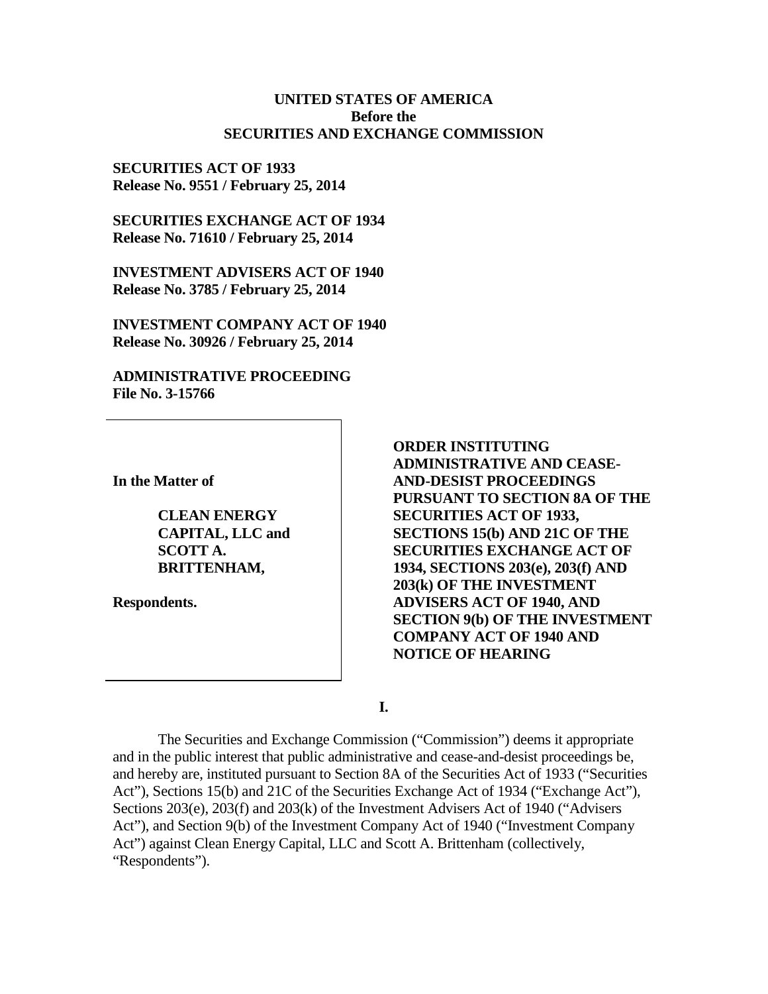#### **UNITED STATES OF AMERICA Before the SECURITIES AND EXCHANGE COMMISSION**

**SECURITIES ACT OF 1933 Release No. 9551 / February 25, 2014**

**SECURITIES EXCHANGE ACT OF 1934 Release No. 71610 / February 25, 2014**

**INVESTMENT ADVISERS ACT OF 1940 Release No. 3785 / February 25, 2014**

**INVESTMENT COMPANY ACT OF 1940 Release No. 30926 / February 25, 2014**

**ADMINISTRATIVE PROCEEDING File No. 3-15766**

**In the Matter of**

**CLEAN ENERGY CAPITAL, LLC and SCOTT A. BRITTENHAM,**

**Respondents.**

**ORDER INSTITUTING ADMINISTRATIVE AND CEASE-AND-DESIST PROCEEDINGS PURSUANT TO SECTION 8A OF THE SECURITIES ACT OF 1933, SECTIONS 15(b) AND 21C OF THE SECURITIES EXCHANGE ACT OF 1934, SECTIONS 203(e), 203(f) AND 203(k) OF THE INVESTMENT ADVISERS ACT OF 1940, AND SECTION 9(b) OF THE INVESTMENT COMPANY ACT OF 1940 AND NOTICE OF HEARING**

**I.**

The Securities and Exchange Commission ("Commission") deems it appropriate and in the public interest that public administrative and cease-and-desist proceedings be, and hereby are, instituted pursuant to Section 8A of the Securities Act of 1933 ("Securities Act"), Sections 15(b) and 21C of the Securities Exchange Act of 1934 ("Exchange Act"), Sections 203(e), 203(f) and 203(k) of the Investment Advisers Act of 1940 ("Advisers Act"), and Section 9(b) of the Investment Company Act of 1940 ("Investment Company Act") against Clean Energy Capital, LLC and Scott A. Brittenham (collectively, "Respondents").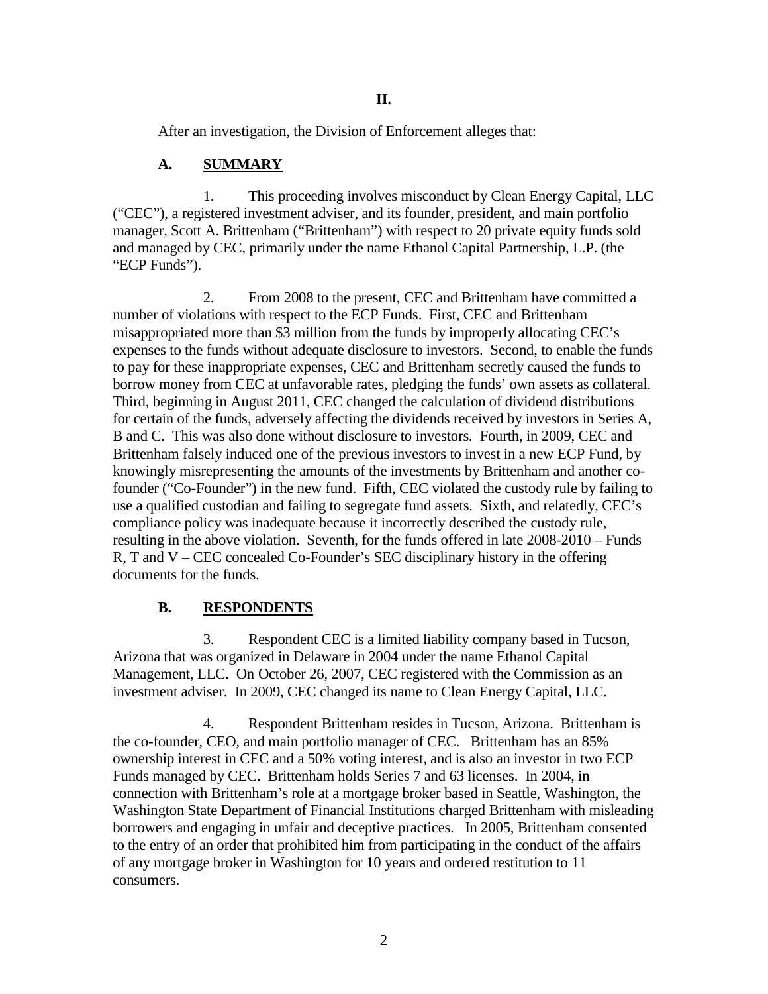After an investigation, the Division of Enforcement alleges that:

#### **A. SUMMARY**

1. This proceeding involves misconduct by Clean Energy Capital, LLC ("CEC"), a registered investment adviser, and its founder, president, and main portfolio manager, Scott A. Brittenham ("Brittenham") with respect to 20 private equity funds sold and managed by CEC, primarily under the name Ethanol Capital Partnership, L.P. (the "ECP Funds").

2. From 2008 to the present, CEC and Brittenham have committed a number of violations with respect to the ECP Funds. First, CEC and Brittenham misappropriated more than \$3 million from the funds by improperly allocating CEC's expenses to the funds without adequate disclosure to investors. Second, to enable the funds to pay for these inappropriate expenses, CEC and Brittenham secretly caused the funds to borrow money from CEC at unfavorable rates, pledging the funds' own assets as collateral. Third, beginning in August 2011, CEC changed the calculation of dividend distributions for certain of the funds, adversely affecting the dividends received by investors in Series A, B and C. This was also done without disclosure to investors. Fourth, in 2009, CEC and Brittenham falsely induced one of the previous investors to invest in a new ECP Fund, by knowingly misrepresenting the amounts of the investments by Brittenham and another cofounder ("Co-Founder") in the new fund. Fifth, CEC violated the custody rule by failing to use a qualified custodian and failing to segregate fund assets. Sixth, and relatedly, CEC's compliance policy was inadequate because it incorrectly described the custody rule, resulting in the above violation. Seventh, for the funds offered in late 2008-2010 – Funds R, T and V – CEC concealed Co-Founder's SEC disciplinary history in the offering documents for the funds.

### **B. RESPONDENTS**

3. Respondent CEC is a limited liability company based in Tucson, Arizona that was organized in Delaware in 2004 under the name Ethanol Capital Management, LLC. On October 26, 2007, CEC registered with the Commission as an investment adviser. In 2009, CEC changed its name to Clean Energy Capital, LLC.

4. Respondent Brittenham resides in Tucson, Arizona. Brittenham is the co-founder, CEO, and main portfolio manager of CEC. Brittenham has an 85% ownership interest in CEC and a 50% voting interest, and is also an investor in two ECP Funds managed by CEC. Brittenham holds Series 7 and 63 licenses. In 2004, in connection with Brittenham's role at a mortgage broker based in Seattle, Washington, the Washington State Department of Financial Institutions charged Brittenham with misleading borrowers and engaging in unfair and deceptive practices. In 2005, Brittenham consented to the entry of an order that prohibited him from participating in the conduct of the affairs of any mortgage broker in Washington for 10 years and ordered restitution to 11 consumers.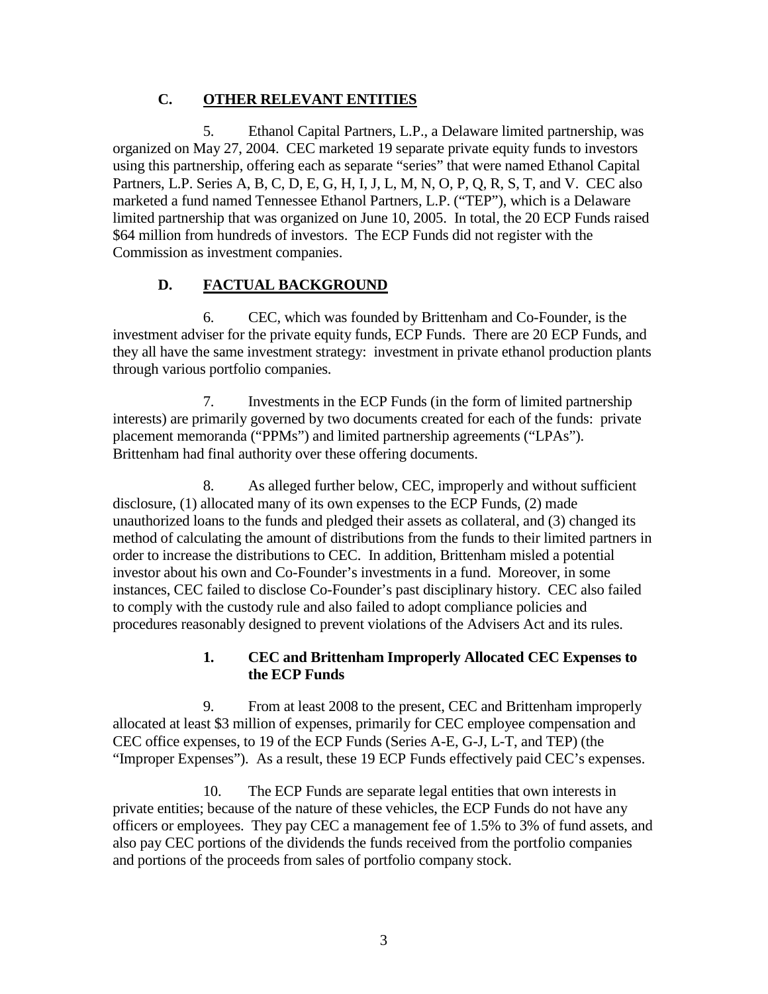### **C. OTHER RELEVANT ENTITIES**

5. Ethanol Capital Partners, L.P., a Delaware limited partnership, was organized on May 27, 2004. CEC marketed 19 separate private equity funds to investors using this partnership, offering each as separate "series" that were named Ethanol Capital Partners, L.P. Series A, B, C, D, E, G, H, I, J, L, M, N, O, P, Q, R, S, T, and V. CEC also marketed a fund named Tennessee Ethanol Partners, L.P. ("TEP"), which is a Delaware limited partnership that was organized on June 10, 2005. In total, the 20 ECP Funds raised \$64 million from hundreds of investors. The ECP Funds did not register with the Commission as investment companies.

# **D. FACTUAL BACKGROUND**

6. CEC, which was founded by Brittenham and Co-Founder, is the investment adviser for the private equity funds, ECP Funds. There are 20 ECP Funds, and they all have the same investment strategy: investment in private ethanol production plants through various portfolio companies.

7. Investments in the ECP Funds (in the form of limited partnership interests) are primarily governed by two documents created for each of the funds: private placement memoranda ("PPMs") and limited partnership agreements ("LPAs"). Brittenham had final authority over these offering documents.

8. As alleged further below, CEC, improperly and without sufficient disclosure, (1) allocated many of its own expenses to the ECP Funds, (2) made unauthorized loans to the funds and pledged their assets as collateral, and (3) changed its method of calculating the amount of distributions from the funds to their limited partners in order to increase the distributions to CEC. In addition, Brittenham misled a potential investor about his own and Co-Founder's investments in a fund. Moreover, in some instances, CEC failed to disclose Co-Founder's past disciplinary history. CEC also failed to comply with the custody rule and also failed to adopt compliance policies and procedures reasonably designed to prevent violations of the Advisers Act and its rules.

## **1. CEC and Brittenham Improperly Allocated CEC Expenses to the ECP Funds**

9. From at least 2008 to the present, CEC and Brittenham improperly allocated at least \$3 million of expenses, primarily for CEC employee compensation and CEC office expenses, to 19 of the ECP Funds (Series A-E, G-J, L-T, and TEP) (the "Improper Expenses"). As a result, these 19 ECP Funds effectively paid CEC's expenses.

10. The ECP Funds are separate legal entities that own interests in private entities; because of the nature of these vehicles, the ECP Funds do not have any officers or employees. They pay CEC a management fee of 1.5% to 3% of fund assets, and also pay CEC portions of the dividends the funds received from the portfolio companies and portions of the proceeds from sales of portfolio company stock.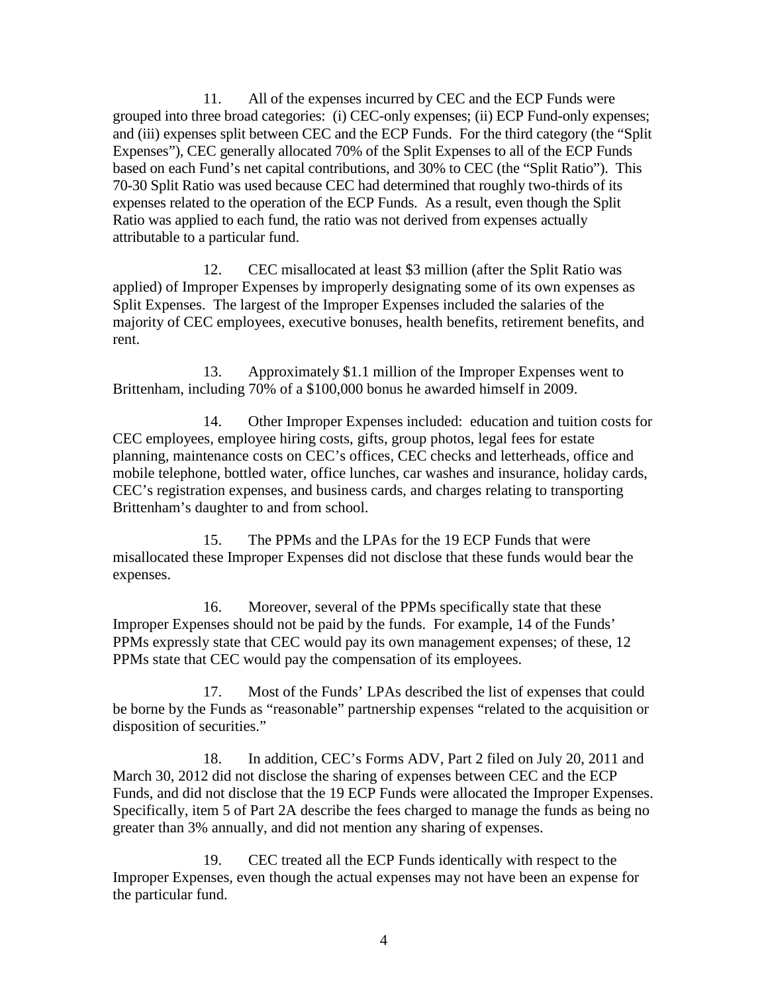11. All of the expenses incurred by CEC and the ECP Funds were grouped into three broad categories: (i) CEC-only expenses; (ii) ECP Fund-only expenses; and (iii) expenses split between CEC and the ECP Funds. For the third category (the "Split Expenses"), CEC generally allocated 70% of the Split Expenses to all of the ECP Funds based on each Fund's net capital contributions, and 30% to CEC (the "Split Ratio"). This 70-30 Split Ratio was used because CEC had determined that roughly two-thirds of its expenses related to the operation of the ECP Funds. As a result, even though the Split Ratio was applied to each fund, the ratio was not derived from expenses actually attributable to a particular fund.

12. CEC misallocated at least \$3 million (after the Split Ratio was applied) of Improper Expenses by improperly designating some of its own expenses as Split Expenses. The largest of the Improper Expenses included the salaries of the majority of CEC employees, executive bonuses, health benefits, retirement benefits, and rent.

13. Approximately \$1.1 million of the Improper Expenses went to Brittenham, including 70% of a \$100,000 bonus he awarded himself in 2009.

14. Other Improper Expenses included: education and tuition costs for CEC employees, employee hiring costs, gifts, group photos, legal fees for estate planning, maintenance costs on CEC's offices, CEC checks and letterheads, office and mobile telephone, bottled water, office lunches, car washes and insurance, holiday cards, CEC's registration expenses, and business cards, and charges relating to transporting Brittenham's daughter to and from school.

15. The PPMs and the LPAs for the 19 ECP Funds that were misallocated these Improper Expenses did not disclose that these funds would bear the expenses.

16. Moreover, several of the PPMs specifically state that these Improper Expenses should not be paid by the funds. For example, 14 of the Funds' PPMs expressly state that CEC would pay its own management expenses; of these, 12 PPMs state that CEC would pay the compensation of its employees.

17. Most of the Funds' LPAs described the list of expenses that could be borne by the Funds as "reasonable" partnership expenses "related to the acquisition or disposition of securities."

18. In addition, CEC's Forms ADV, Part 2 filed on July 20, 2011 and March 30, 2012 did not disclose the sharing of expenses between CEC and the ECP Funds, and did not disclose that the 19 ECP Funds were allocated the Improper Expenses. Specifically, item 5 of Part 2A describe the fees charged to manage the funds as being no greater than 3% annually, and did not mention any sharing of expenses.

19. CEC treated all the ECP Funds identically with respect to the Improper Expenses, even though the actual expenses may not have been an expense for the particular fund.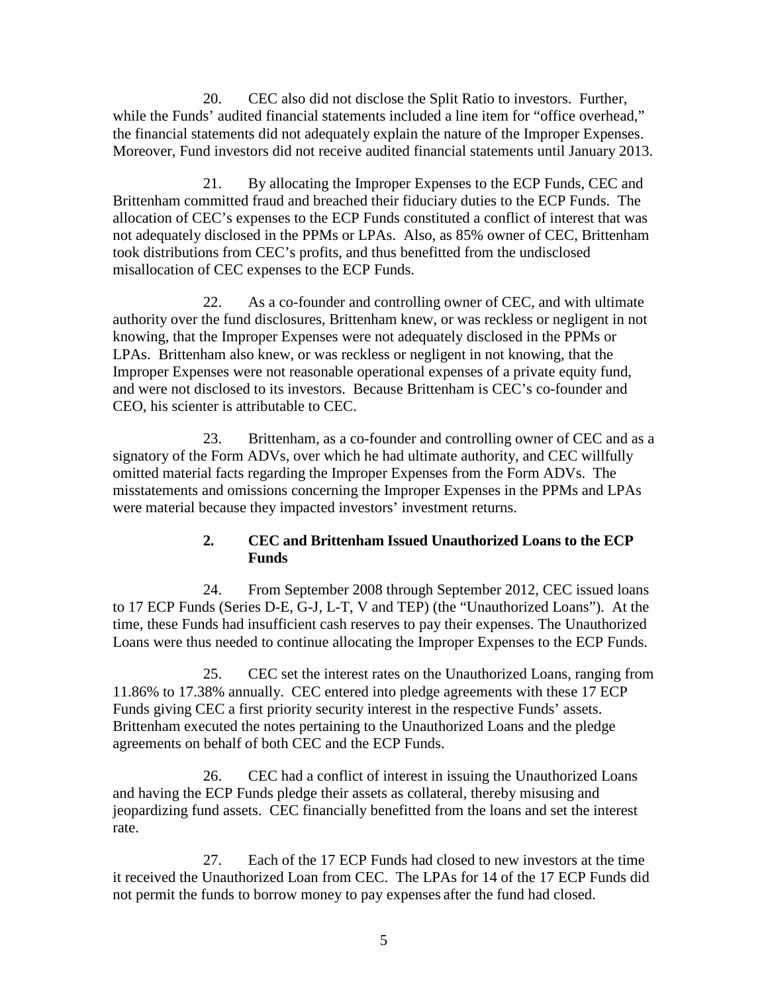20. CEC also did not disclose the Split Ratio to investors. Further, while the Funds' audited financial statements included a line item for "office overhead," the financial statements did not adequately explain the nature of the Improper Expenses. Moreover, Fund investors did not receive audited financial statements until January 2013.

21. By allocating the Improper Expenses to the ECP Funds, CEC and Brittenham committed fraud and breached their fiduciary duties to the ECP Funds. The allocation of CEC's expenses to the ECP Funds constituted a conflict of interest that was not adequately disclosed in the PPMs or LPAs. Also, as 85% owner of CEC, Brittenham took distributions from CEC's profits, and thus benefitted from the undisclosed misallocation of CEC expenses to the ECP Funds.

22. As a co-founder and controlling owner of CEC, and with ultimate authority over the fund disclosures, Brittenham knew, or was reckless or negligent in not knowing, that the Improper Expenses were not adequately disclosed in the PPMs or LPAs. Brittenham also knew, or was reckless or negligent in not knowing, that the Improper Expenses were not reasonable operational expenses of a private equity fund, and were not disclosed to its investors. Because Brittenham is CEC's co-founder and CEO, his scienter is attributable to CEC.

23. Brittenham, as a co-founder and controlling owner of CEC and as a signatory of the Form ADVs, over which he had ultimate authority, and CEC willfully omitted material facts regarding the Improper Expenses from the Form ADVs. The misstatements and omissions concerning the Improper Expenses in the PPMs and LPAs were material because they impacted investors' investment returns.

### **2. CEC and Brittenham Issued Unauthorized Loans to the ECP Funds**

24. From September 2008 through September 2012, CEC issued loans to 17 ECP Funds (Series D-E, G-J, L-T, V and TEP) (the "Unauthorized Loans"). At the time, these Funds had insufficient cash reserves to pay their expenses. The Unauthorized Loans were thus needed to continue allocating the Improper Expenses to the ECP Funds.

25. CEC set the interest rates on the Unauthorized Loans, ranging from 11.86% to 17.38% annually. CEC entered into pledge agreements with these 17 ECP Funds giving CEC a first priority security interest in the respective Funds' assets. Brittenham executed the notes pertaining to the Unauthorized Loans and the pledge agreements on behalf of both CEC and the ECP Funds.

26. CEC had a conflict of interest in issuing the Unauthorized Loans and having the ECP Funds pledge their assets as collateral, thereby misusing and jeopardizing fund assets. CEC financially benefitted from the loans and set the interest rate.

27. Each of the 17 ECP Funds had closed to new investors at the time it received the Unauthorized Loan from CEC. The LPAs for 14 of the 17 ECP Funds did not permit the funds to borrow money to pay expenses after the fund had closed.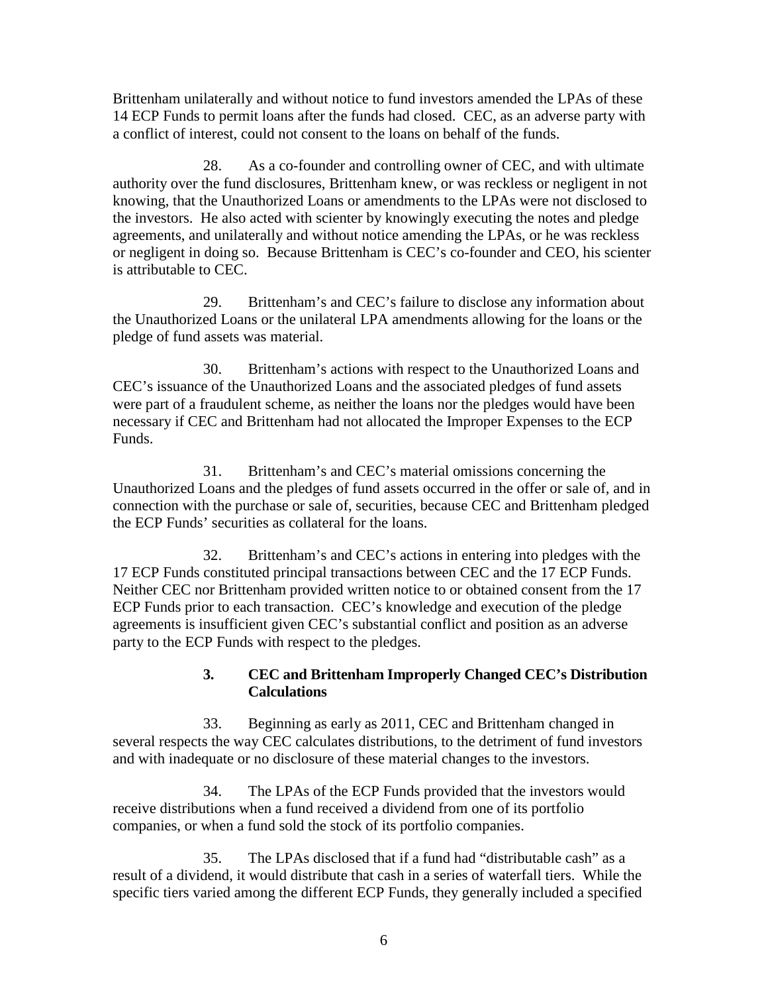Brittenham unilaterally and without notice to fund investors amended the LPAs of these 14 ECP Funds to permit loans after the funds had closed. CEC, as an adverse party with a conflict of interest, could not consent to the loans on behalf of the funds.

28. As a co-founder and controlling owner of CEC, and with ultimate authority over the fund disclosures, Brittenham knew, or was reckless or negligent in not knowing, that the Unauthorized Loans or amendments to the LPAs were not disclosed to the investors. He also acted with scienter by knowingly executing the notes and pledge agreements, and unilaterally and without notice amending the LPAs, or he was reckless or negligent in doing so. Because Brittenham is CEC's co-founder and CEO, his scienter is attributable to CEC.

29. Brittenham's and CEC's failure to disclose any information about the Unauthorized Loans or the unilateral LPA amendments allowing for the loans or the pledge of fund assets was material.

30. Brittenham's actions with respect to the Unauthorized Loans and CEC's issuance of the Unauthorized Loans and the associated pledges of fund assets were part of a fraudulent scheme, as neither the loans nor the pledges would have been necessary if CEC and Brittenham had not allocated the Improper Expenses to the ECP Funds.

31. Brittenham's and CEC's material omissions concerning the Unauthorized Loans and the pledges of fund assets occurred in the offer or sale of, and in connection with the purchase or sale of, securities, because CEC and Brittenham pledged the ECP Funds' securities as collateral for the loans.

32. Brittenham's and CEC's actions in entering into pledges with the 17 ECP Funds constituted principal transactions between CEC and the 17 ECP Funds. Neither CEC nor Brittenham provided written notice to or obtained consent from the 17 ECP Funds prior to each transaction. CEC's knowledge and execution of the pledge agreements is insufficient given CEC's substantial conflict and position as an adverse party to the ECP Funds with respect to the pledges.

#### **3. CEC and Brittenham Improperly Changed CEC's Distribution Calculations**

33. Beginning as early as 2011, CEC and Brittenham changed in several respects the way CEC calculates distributions, to the detriment of fund investors and with inadequate or no disclosure of these material changes to the investors.

34. The LPAs of the ECP Funds provided that the investors would receive distributions when a fund received a dividend from one of its portfolio companies, or when a fund sold the stock of its portfolio companies.

35. The LPAs disclosed that if a fund had "distributable cash" as a result of a dividend, it would distribute that cash in a series of waterfall tiers. While the specific tiers varied among the different ECP Funds, they generally included a specified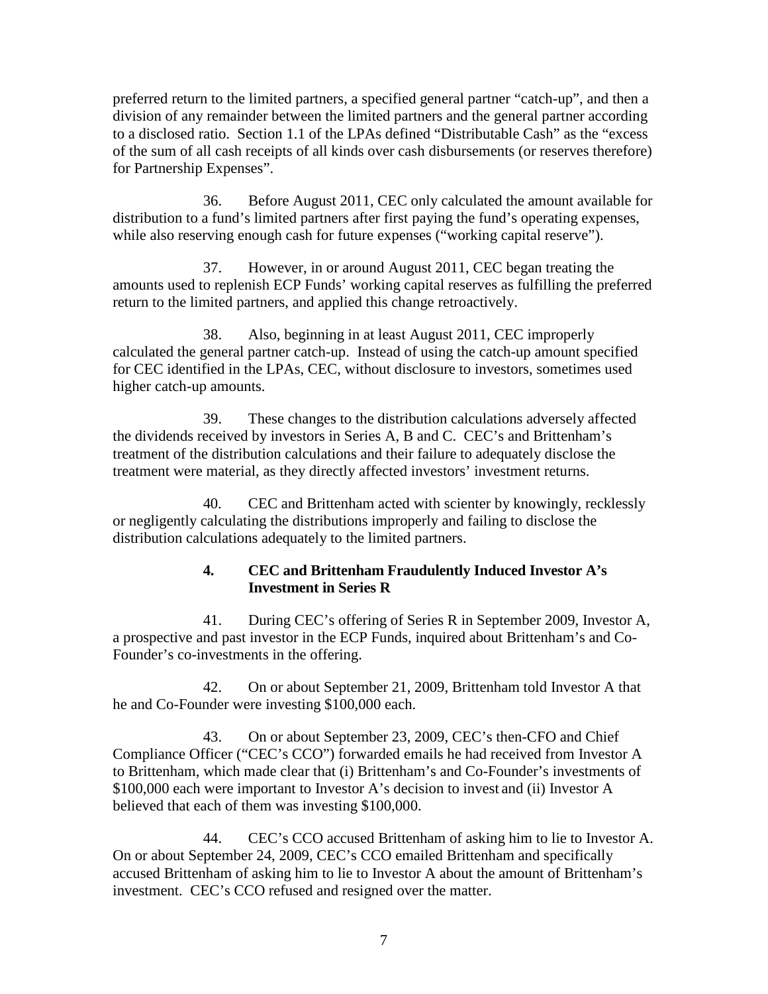preferred return to the limited partners, a specified general partner "catch-up", and then a division of any remainder between the limited partners and the general partner according to a disclosed ratio. Section 1.1 of the LPAs defined "Distributable Cash" as the "excess of the sum of all cash receipts of all kinds over cash disbursements (or reserves therefore) for Partnership Expenses".

36. Before August 2011, CEC only calculated the amount available for distribution to a fund's limited partners after first paying the fund's operating expenses, while also reserving enough cash for future expenses ("working capital reserve").

37. However, in or around August 2011, CEC began treating the amounts used to replenish ECP Funds' working capital reserves as fulfilling the preferred return to the limited partners, and applied this change retroactively.

38. Also, beginning in at least August 2011, CEC improperly calculated the general partner catch-up. Instead of using the catch-up amount specified for CEC identified in the LPAs, CEC, without disclosure to investors, sometimes used higher catch-up amounts.

39. These changes to the distribution calculations adversely affected the dividends received by investors in Series A, B and C. CEC's and Brittenham's treatment of the distribution calculations and their failure to adequately disclose the treatment were material, as they directly affected investors' investment returns.

40. CEC and Brittenham acted with scienter by knowingly, recklessly or negligently calculating the distributions improperly and failing to disclose the distribution calculations adequately to the limited partners.

### **4. CEC and Brittenham Fraudulently Induced Investor A's Investment in Series R**

41. During CEC's offering of Series R in September 2009, Investor A, a prospective and past investor in the ECP Funds, inquired about Brittenham's and Co-Founder's co-investments in the offering.

42. On or about September 21, 2009, Brittenham told Investor A that he and Co-Founder were investing \$100,000 each.

43. On or about September 23, 2009, CEC's then-CFO and Chief Compliance Officer ("CEC's CCO") forwarded emails he had received from Investor A to Brittenham, which made clear that (i) Brittenham's and Co-Founder's investments of \$100,000 each were important to Investor A's decision to invest and (ii) Investor A believed that each of them was investing \$100,000.

44. CEC's CCO accused Brittenham of asking him to lie to Investor A. On or about September 24, 2009, CEC's CCO emailed Brittenham and specifically accused Brittenham of asking him to lie to Investor A about the amount of Brittenham's investment. CEC's CCO refused and resigned over the matter.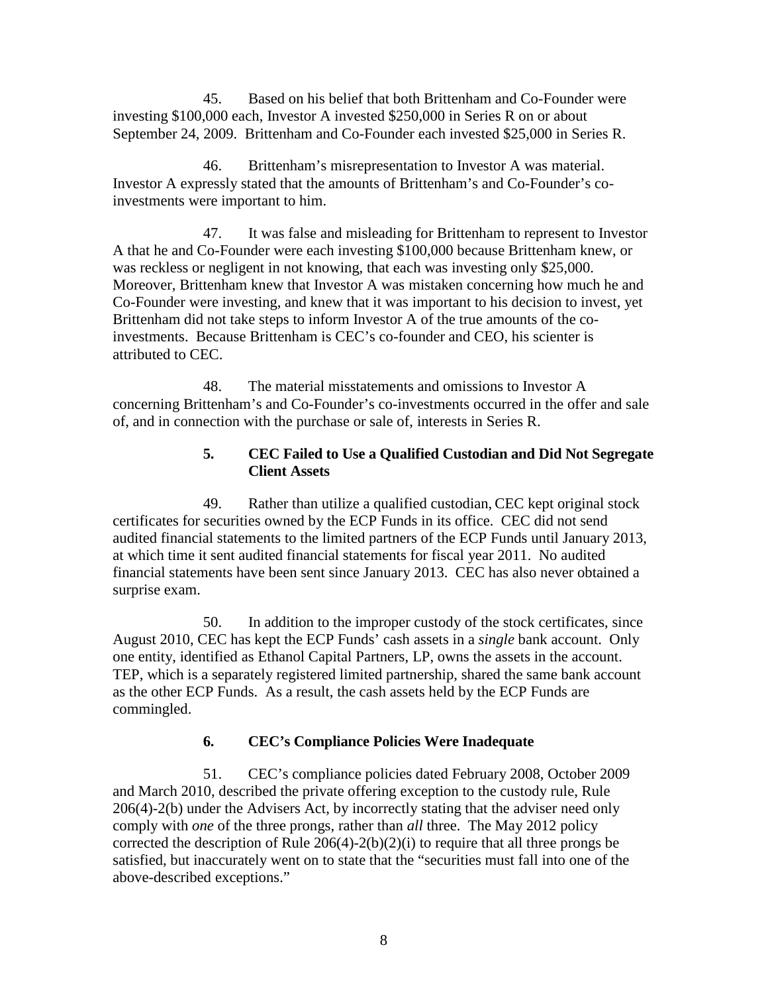45. Based on his belief that both Brittenham and Co-Founder were investing \$100,000 each, Investor A invested \$250,000 in Series R on or about September 24, 2009. Brittenham and Co-Founder each invested \$25,000 in Series R.

46. Brittenham's misrepresentation to Investor A was material. Investor A expressly stated that the amounts of Brittenham's and Co-Founder's coinvestments were important to him.

47. It was false and misleading for Brittenham to represent to Investor A that he and Co-Founder were each investing \$100,000 because Brittenham knew, or was reckless or negligent in not knowing, that each was investing only \$25,000. Moreover, Brittenham knew that Investor A was mistaken concerning how much he and Co-Founder were investing, and knew that it was important to his decision to invest, yet Brittenham did not take steps to inform Investor A of the true amounts of the coinvestments. Because Brittenham is CEC's co-founder and CEO, his scienter is attributed to CEC.

48. The material misstatements and omissions to Investor A concerning Brittenham's and Co-Founder's co-investments occurred in the offer and sale of, and in connection with the purchase or sale of, interests in Series R.

#### **5. CEC Failed to Use a Qualified Custodian and Did Not Segregate Client Assets**

49. Rather than utilize a qualified custodian, CEC kept original stock certificates for securities owned by the ECP Funds in its office. CEC did not send audited financial statements to the limited partners of the ECP Funds until January 2013, at which time it sent audited financial statements for fiscal year 2011. No audited financial statements have been sent since January 2013. CEC has also never obtained a surprise exam.

50. In addition to the improper custody of the stock certificates, since August 2010, CEC has kept the ECP Funds' cash assets in a *single* bank account. Only one entity, identified as Ethanol Capital Partners, LP, owns the assets in the account. TEP, which is a separately registered limited partnership, shared the same bank account as the other ECP Funds. As a result, the cash assets held by the ECP Funds are commingled.

### **6. CEC's Compliance Policies Were Inadequate**

51. CEC's compliance policies dated February 2008, October 2009 and March 2010, described the private offering exception to the custody rule, Rule 206(4)-2(b) under the Advisers Act, by incorrectly stating that the adviser need only comply with *one* of the three prongs, rather than *all* three. The May 2012 policy corrected the description of Rule  $206(4)-2(b)(2)(i)$  to require that all three prongs be satisfied, but inaccurately went on to state that the "securities must fall into one of the above-described exceptions."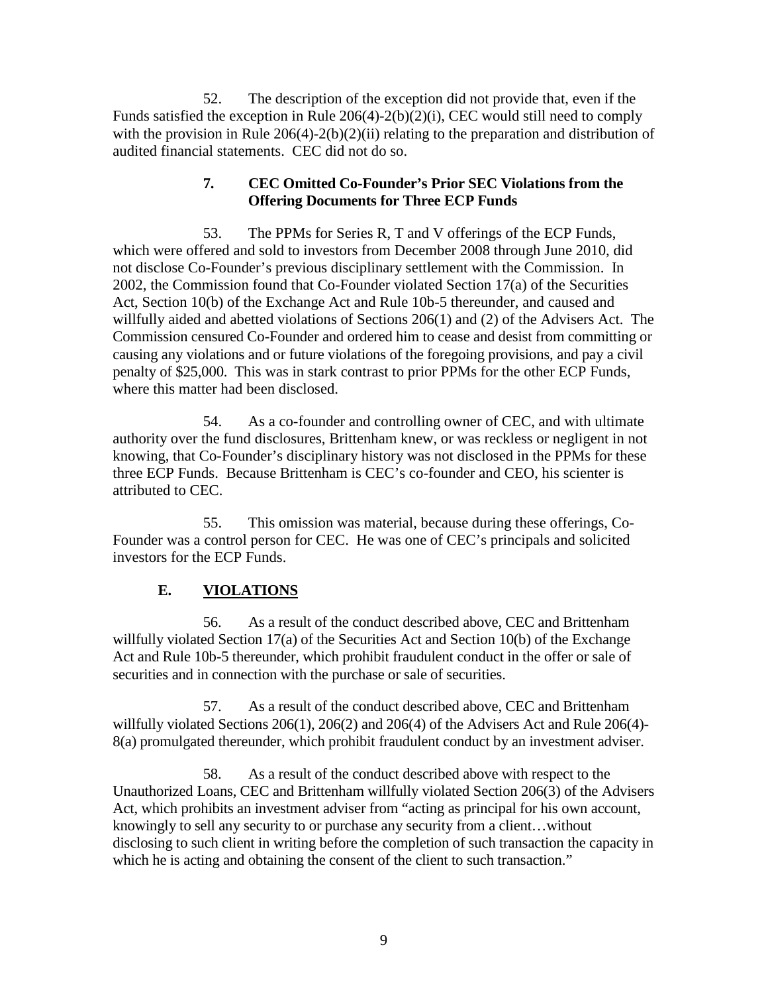52. The description of the exception did not provide that, even if the Funds satisfied the exception in Rule 206(4)-2(b)(2)(i), CEC would still need to comply with the provision in Rule  $206(4)-2(b)(2)(ii)$  relating to the preparation and distribution of audited financial statements. CEC did not do so.

### **7. CEC Omitted Co-Founder's Prior SEC Violations from the Offering Documents for Three ECP Funds**

53. The PPMs for Series R, T and V offerings of the ECP Funds, which were offered and sold to investors from December 2008 through June 2010, did not disclose Co-Founder's previous disciplinary settlement with the Commission. In 2002, the Commission found that Co-Founder violated Section 17(a) of the Securities Act, Section 10(b) of the Exchange Act and Rule 10b-5 thereunder, and caused and willfully aided and abetted violations of Sections 206(1) and (2) of the Advisers Act. The Commission censured Co-Founder and ordered him to cease and desist from committing or causing any violations and or future violations of the foregoing provisions, and pay a civil penalty of \$25,000. This was in stark contrast to prior PPMs for the other ECP Funds, where this matter had been disclosed.

54. As a co-founder and controlling owner of CEC, and with ultimate authority over the fund disclosures, Brittenham knew, or was reckless or negligent in not knowing, that Co-Founder's disciplinary history was not disclosed in the PPMs for these three ECP Funds. Because Brittenham is CEC's co-founder and CEO, his scienter is attributed to CEC.

55. This omission was material, because during these offerings, Co-Founder was a control person for CEC. He was one of CEC's principals and solicited investors for the ECP Funds.

# **E. VIOLATIONS**

56. As a result of the conduct described above, CEC and Brittenham willfully violated Section 17(a) of the Securities Act and Section 10(b) of the Exchange Act and Rule 10b-5 thereunder, which prohibit fraudulent conduct in the offer or sale of securities and in connection with the purchase or sale of securities.

57. As a result of the conduct described above, CEC and Brittenham willfully violated Sections 206(1), 206(2) and 206(4) of the Advisers Act and Rule 206(4)- 8(a) promulgated thereunder, which prohibit fraudulent conduct by an investment adviser.

58. As a result of the conduct described above with respect to the Unauthorized Loans, CEC and Brittenham willfully violated Section 206(3) of the Advisers Act, which prohibits an investment adviser from "acting as principal for his own account, knowingly to sell any security to or purchase any security from a client…without disclosing to such client in writing before the completion of such transaction the capacity in which he is acting and obtaining the consent of the client to such transaction."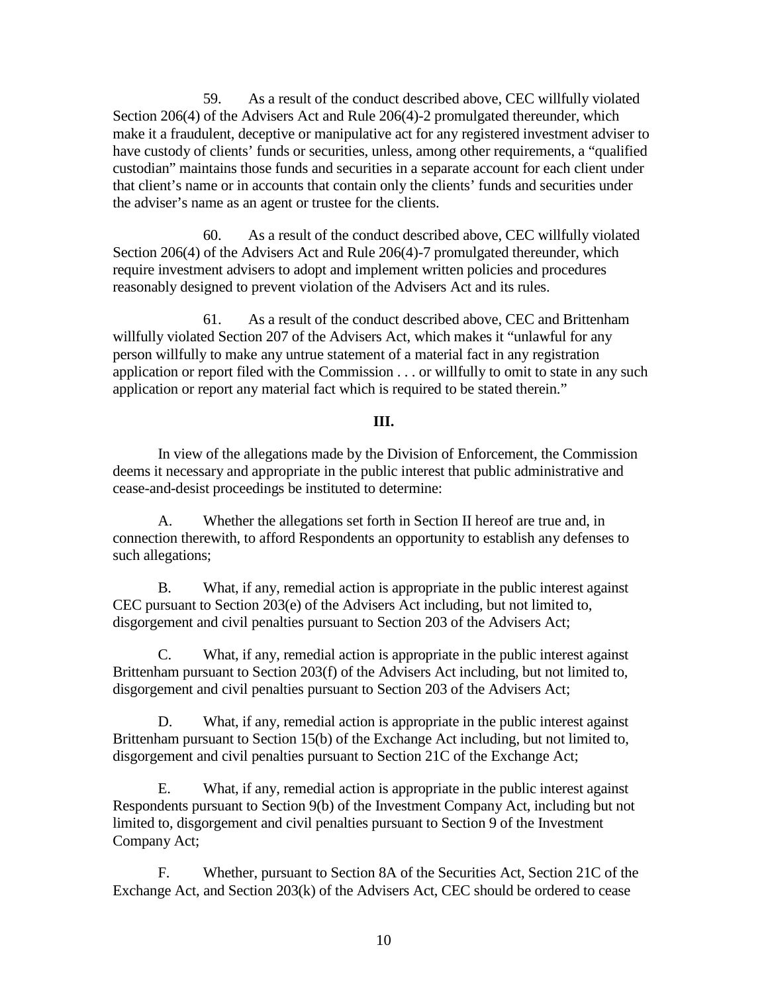59. As a result of the conduct described above, CEC willfully violated Section 206(4) of the Advisers Act and Rule 206(4)-2 promulgated thereunder, which make it a fraudulent, deceptive or manipulative act for any registered investment adviser to have custody of clients' funds or securities, unless, among other requirements, a "qualified custodian" maintains those funds and securities in a separate account for each client under that client's name or in accounts that contain only the clients' funds and securities under the adviser's name as an agent or trustee for the clients.

60. As a result of the conduct described above, CEC willfully violated Section 206(4) of the Advisers Act and Rule 206(4)-7 promulgated thereunder, which require investment advisers to adopt and implement written policies and procedures reasonably designed to prevent violation of the Advisers Act and its rules.

61. As a result of the conduct described above, CEC and Brittenham willfully violated Section 207 of the Advisers Act, which makes it "unlawful for any person willfully to make any untrue statement of a material fact in any registration application or report filed with the Commission . . . or willfully to omit to state in any such application or report any material fact which is required to be stated therein."

#### **III.**

In view of the allegations made by the Division of Enforcement, the Commission deems it necessary and appropriate in the public interest that public administrative and cease-and-desist proceedings be instituted to determine:

A. Whether the allegations set forth in Section II hereof are true and, in connection therewith, to afford Respondents an opportunity to establish any defenses to such allegations;

B. What, if any, remedial action is appropriate in the public interest against CEC pursuant to Section 203(e) of the Advisers Act including, but not limited to, disgorgement and civil penalties pursuant to Section 203 of the Advisers Act;

C. What, if any, remedial action is appropriate in the public interest against Brittenham pursuant to Section 203(f) of the Advisers Act including, but not limited to, disgorgement and civil penalties pursuant to Section 203 of the Advisers Act;

D. What, if any, remedial action is appropriate in the public interest against Brittenham pursuant to Section 15(b) of the Exchange Act including, but not limited to, disgorgement and civil penalties pursuant to Section 21C of the Exchange Act;

E. What, if any, remedial action is appropriate in the public interest against Respondents pursuant to Section 9(b) of the Investment Company Act, including but not limited to, disgorgement and civil penalties pursuant to Section 9 of the Investment Company Act;

F. Whether, pursuant to Section 8A of the Securities Act, Section 21C of the Exchange Act, and Section 203(k) of the Advisers Act, CEC should be ordered to cease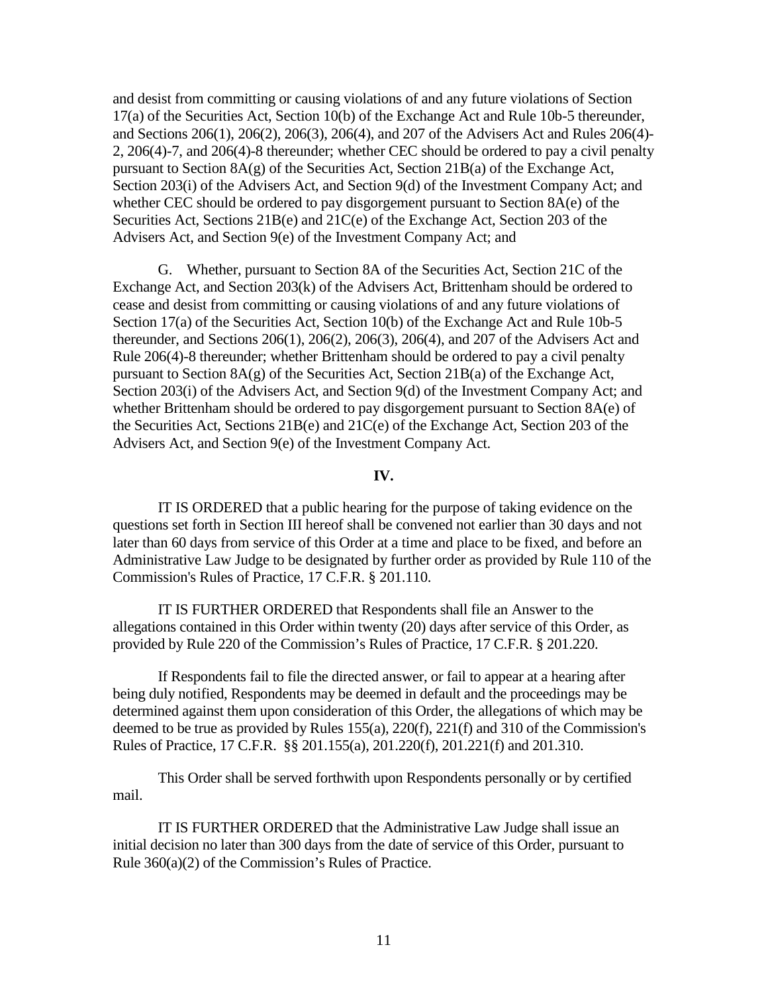and desist from committing or causing violations of and any future violations of Section 17(a) of the Securities Act, Section 10(b) of the Exchange Act and Rule 10b-5 thereunder, and Sections 206(1), 206(2), 206(3), 206(4), and 207 of the Advisers Act and Rules 206(4)- 2, 206(4)-7, and 206(4)-8 thereunder; whether CEC should be ordered to pay a civil penalty pursuant to Section 8A(g) of the Securities Act, Section 21B(a) of the Exchange Act, Section 203(i) of the Advisers Act, and Section 9(d) of the Investment Company Act; and whether CEC should be ordered to pay disgorgement pursuant to Section 8A(e) of the Securities Act, Sections 21B(e) and 21C(e) of the Exchange Act, Section 203 of the Advisers Act, and Section 9(e) of the Investment Company Act; and

G. Whether, pursuant to Section 8A of the Securities Act, Section 21C of the Exchange Act, and Section 203(k) of the Advisers Act, Brittenham should be ordered to cease and desist from committing or causing violations of and any future violations of Section 17(a) of the Securities Act, Section 10(b) of the Exchange Act and Rule 10b-5 thereunder, and Sections 206(1), 206(2), 206(3), 206(4), and 207 of the Advisers Act and Rule 206(4)-8 thereunder; whether Brittenham should be ordered to pay a civil penalty pursuant to Section 8A(g) of the Securities Act, Section 21B(a) of the Exchange Act, Section 203(i) of the Advisers Act, and Section 9(d) of the Investment Company Act; and whether Brittenham should be ordered to pay disgorgement pursuant to Section 8A(e) of the Securities Act, Sections 21B(e) and 21C(e) of the Exchange Act, Section 203 of the Advisers Act, and Section 9(e) of the Investment Company Act.

#### **IV.**

IT IS ORDERED that a public hearing for the purpose of taking evidence on the questions set forth in Section III hereof shall be convened not earlier than 30 days and not later than 60 days from service of this Order at a time and place to be fixed, and before an Administrative Law Judge to be designated by further order as provided by Rule 110 of the Commission's Rules of Practice, 17 C.F.R. § 201.110.

IT IS FURTHER ORDERED that Respondents shall file an Answer to the allegations contained in this Order within twenty (20) days after service of this Order, as provided by Rule 220 of the Commission's Rules of Practice, 17 C.F.R. § 201.220.

If Respondents fail to file the directed answer, or fail to appear at a hearing after being duly notified, Respondents may be deemed in default and the proceedings may be determined against them upon consideration of this Order, the allegations of which may be deemed to be true as provided by Rules 155(a), 220(f), 221(f) and 310 of the Commission's Rules of Practice, 17 C.F.R. §§ 201.155(a), 201.220(f), 201.221(f) and 201.310.

This Order shall be served forthwith upon Respondents personally or by certified mail.

IT IS FURTHER ORDERED that the Administrative Law Judge shall issue an initial decision no later than 300 days from the date of service of this Order, pursuant to Rule 360(a)(2) of the Commission's Rules of Practice.